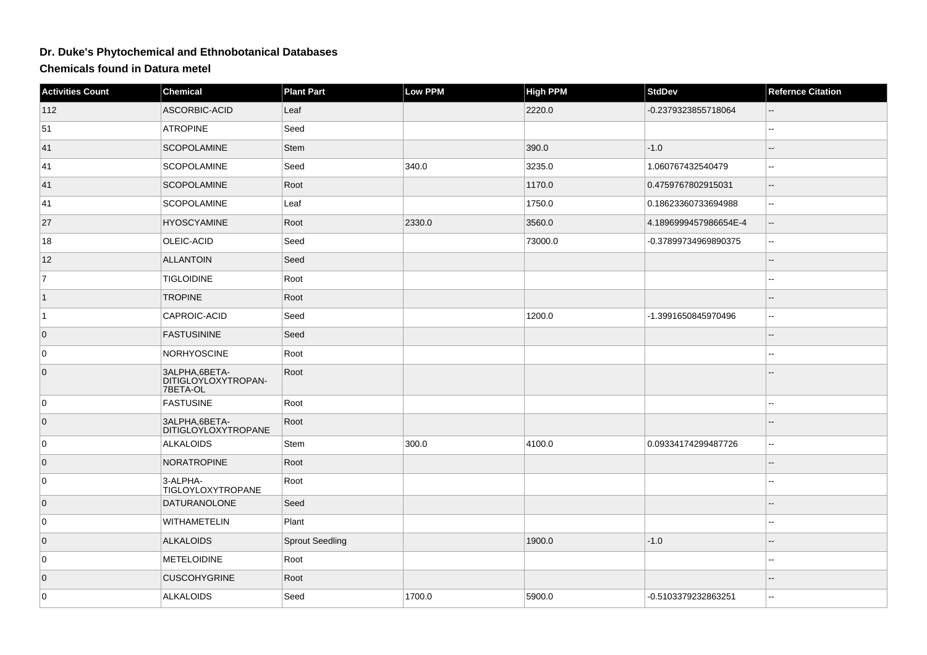## **Dr. Duke's Phytochemical and Ethnobotanical Databases**

**Chemicals found in Datura metel**

| <b>Activities Count</b> | Chemical                                          | <b>Plant Part</b>      | <b>Low PPM</b> | <b>High PPM</b> | <b>StdDev</b>         | <b>Refernce Citation</b> |
|-------------------------|---------------------------------------------------|------------------------|----------------|-----------------|-----------------------|--------------------------|
| 112                     | ASCORBIC-ACID                                     | Leaf                   |                | 2220.0          | -0.2379323855718064   |                          |
| 51                      | <b>ATROPINE</b>                                   | Seed                   |                |                 |                       | --                       |
| 41                      | <b>SCOPOLAMINE</b>                                | Stem                   |                | 390.0           | $-1.0$                |                          |
| 41                      | <b>SCOPOLAMINE</b>                                | Seed                   | 340.0          | 3235.0          | 1.060767432540479     | ÷.                       |
| 41                      | <b>SCOPOLAMINE</b>                                | Root                   |                | 1170.0          | 0.4759767802915031    | --                       |
| 41                      | <b>SCOPOLAMINE</b>                                | Leaf                   |                | 1750.0          | 0.18623360733694988   | $\overline{a}$           |
| 27                      | <b>HYOSCYAMINE</b>                                | Root                   | 2330.0         | 3560.0          | 4.1896999457986654E-4 |                          |
| 18                      | OLEIC-ACID                                        | Seed                   |                | 73000.0         | -0.37899734969890375  | Щ.                       |
| 12                      | <b>ALLANTOIN</b>                                  | Seed                   |                |                 |                       |                          |
| $\overline{7}$          | <b>TIGLOIDINE</b>                                 | Root                   |                |                 |                       |                          |
| $\vert$ 1               | <b>TROPINE</b>                                    | Root                   |                |                 |                       |                          |
| $\vert$ 1               | CAPROIC-ACID                                      | Seed                   |                | 1200.0          | -1.3991650845970496   | --                       |
| $\overline{0}$          | <b>FASTUSININE</b>                                | Seed                   |                |                 |                       |                          |
| $\pmb{0}$               | <b>NORHYOSCINE</b>                                | Root                   |                |                 |                       | --                       |
| $\overline{0}$          | 3ALPHA, 6BETA-<br>DITIGLOYLOXYTROPAN-<br>7BETA-OL | Root                   |                |                 |                       |                          |
| 0                       | <b>FASTUSINE</b>                                  | Root                   |                |                 |                       |                          |
| $\overline{0}$          | 3ALPHA, 6BETA-<br><b>DITIGLOYLOXYTROPANE</b>      | Root                   |                |                 |                       |                          |
| 0                       | <b>ALKALOIDS</b>                                  | Stem                   | 300.0          | 4100.0          | 0.09334174299487726   | ۵.                       |
| $\overline{0}$          | <b>NORATROPINE</b>                                | Root                   |                |                 |                       |                          |
| 0                       | 3-ALPHA-<br>TIGLOYLOXYTROPANE                     | Root                   |                |                 |                       |                          |
| $\overline{0}$          | <b>DATURANOLONE</b>                               | Seed                   |                |                 |                       |                          |
| 0                       | <b>WITHAMETELIN</b>                               | Plant                  |                |                 |                       |                          |
| $\overline{0}$          | <b>ALKALOIDS</b>                                  | <b>Sprout Seedling</b> |                | 1900.0          | $-1.0$                |                          |
| 0                       | <b>METELOIDINE</b>                                | Root                   |                |                 |                       |                          |
| $\overline{0}$          | <b>CUSCOHYGRINE</b>                               | Root                   |                |                 |                       |                          |
| 0                       | <b>ALKALOIDS</b>                                  | Seed                   | 1700.0         | 5900.0          | -0.5103379232863251   | L.                       |